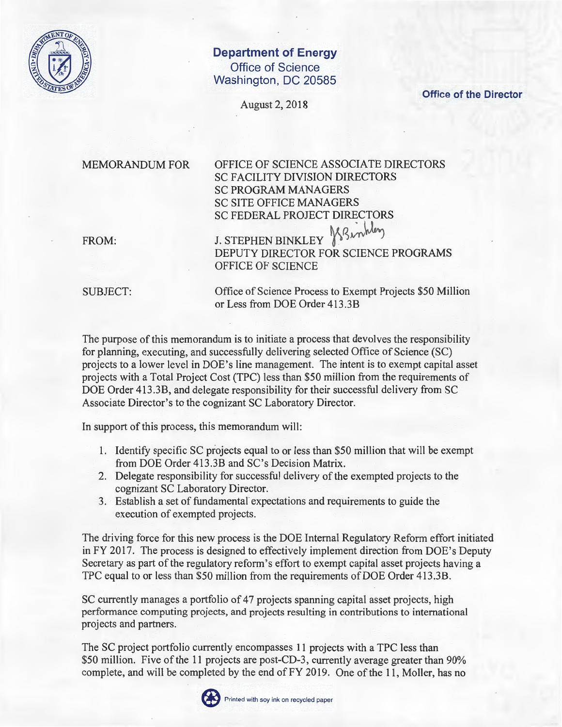

## **Department of Energy Office of Science Washington, DC 20585**

August 2, 2018

**Office of the Director** 

MEMORANDUM FOR

OFFICE OF SCIENCE ASSOCIATE DIRECTORS SC FACILITY DIVISION DIRECTORS SC PROGRAM MANAGERS SC SITE OFFICE MANAGERS SC FEDERAL PROJECT DIRECTORS -*\J£* 

FROM:

**J. STEPHEN BINKLEY** DEPUTY DIRECTOR FOR SCIENCE PROGRAMS OFFICE OF SCIENCE

SUBJECT:

Office of Science Process to Exempt Projects \$50 Million or Less from DOE Order 413 .3B

The purpose of this memorandum is to initiate a process that devolves the responsibility for planning, executing, and successfully delivering selected Office of Science (SC) projects to a lower level in DOE's line management. The intent is to exempt capital asset projects with a Total Project Cost (TPC) less than \$50 million from the requirements of DOE Order 413.3B, and delegate responsibility for their successful delivery from SC Associate Director's to the cognizant SC Laboratory Director.

In support of this process, this memorandum will:

- 1. Identify specific SC projects equal to or less than \$50 million that will be exempt from DOE Order 413.3B and SC's Decision Matrix.
- 2. Delegate responsibility for successful delivery of the exempted projects to the cognizant SC Laboratory Director.
- 3. Establish a set of fundamental' expectations and requirements to guide the execution of exempted projects.

The driving force for this new process is the DOE Internal Regulatory Reform effort initiated in FY 2017. The process is designed to effectively implement direction from DOE's Deputy Secretary as part of the regulatory reform's effort to exempt capital asset projects having a TPC equal to or less than \$50 million from the requirements of DOE Order 413.3B.

SC currently manages a portfolio of 47 projects spanning capital asset projects, high performance computing projects, and projects resulting in contributions to international projects and partners.

The SC project portfolio currently encompasses 11 projects with a TPC less than \$50 million. Five of the 11 projects are post-CD-3, currently average greater than 90% complete, and will be completed by the end of FY 2019. One of the 11, Moller, has no

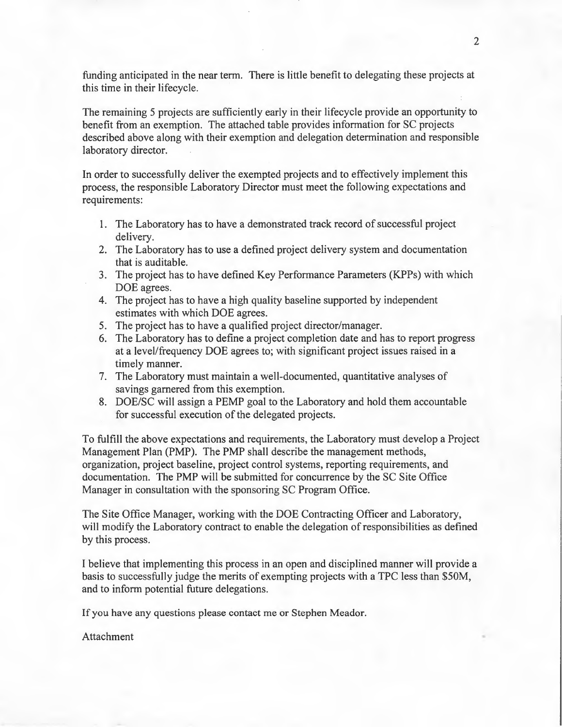funding anticipated in the near term. There is little benefit to delegating these projects at this time in their lifecycle.

The remaining 5 projects are sufficiently early in their lifecycle provide an opportunity to benefit from an exemption. The attached table provides information for SC projects described above along with their exemption and delegation determination and responsible laboratory director.

In order to successfully deliver the exempted projects and to effectively implement this process, the responsible Laboratory Director must meet the following expectations and requirements:

- 1. The Laboratory has to have a demonstrated track record of successful project delivery.
- 2. The Laboratory has to use a defined project delivery system and documentation that is auditable.
- 3. The project has to have defined Key Performance Parameters (KPPs) with which DOE agrees.
- 4. The project has to have a high quality baseline supported by independent estimates with which DOE agrees.
- 5. The project has to have a qualified project director/manager.
- 6. The Laboratory has to define a project completion date and has to report progress at a level/frequency DOE agrees to; with significant project issues raised in a timely manner.
- 7. The Laboratory must maintain a well-documented, quantitative analyses of savings garnered from this exemption.
- 8. DOE/SC will assign a PEMP goal to the Laboratory and hold them accountable for successful execution of the delegated projects.

To fulfill the above expectations and requirements, the Laboratory must develop a Project Management Plan (PMP). The PMP shall describe the management methods, organization, project baseline, project control systems, reporting requirements, and documentation. The PMP will be submitted for concurrence by the SC Site Office Manager in consultation with the sponsoring SC Program Office.

The Site Office Manager, working with the DOE Contracting Officer and Laboratory, will modify the Laboratory contract to enable the delegation of responsibilities as defined by this process.

I believe that implementing this process in an open and disciplined manner will provide a basis to successfully judge the merits of exempting projects with a TPC less than \$SOM, and to inform potential future delegations.

If you have any questions please contact me or Stephen Meador.

Attachment